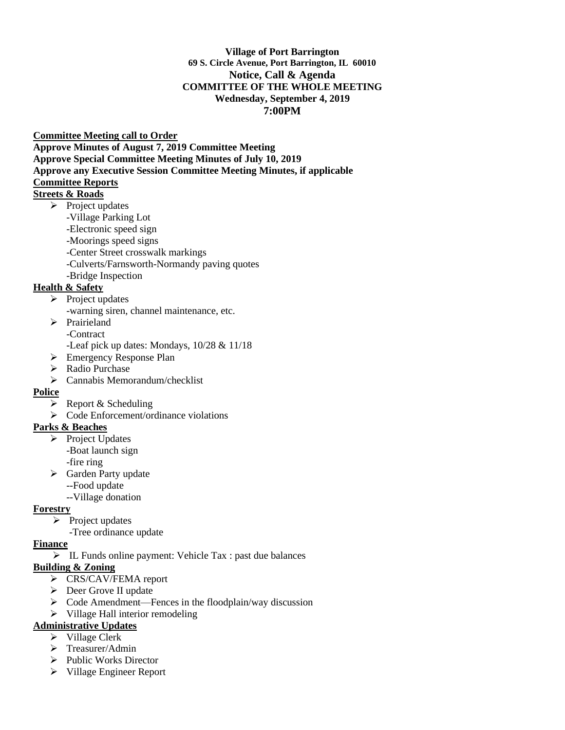#### **Village of Port Barrington 69 S. Circle Avenue, Port Barrington, IL 60010 Notice, Call & Agenda COMMITTEE OF THE WHOLE MEETING Wednesday, September 4, 2019 7:00PM**

#### **Committee Meeting call to Order**

**Approve Minutes of August 7, 2019 Committee Meeting Approve Special Committee Meeting Minutes of July 10, 2019 Approve any Executive Session Committee Meeting Minutes, if applicable Committee Reports** 

# **Streets & Roads**

- $\triangleright$  Project updates
	- -Village Parking Lot
	- -Electronic speed sign
	- -Moorings speed signs
	- -Center Street crosswalk markings
	- -Culverts/Farnsworth-Normandy paving quotes
	- -Bridge Inspection

## **Health & Safety**

- ➢ Project updates
	- -warning siren, channel maintenance, etc.
	- ➢ Prairieland
		- -Contract
		- -Leaf pick up dates: Mondays, 10/28 & 11/18
	- ➢ Emergency Response Plan
	- ➢ Radio Purchase
	- $\triangleright$  Cannabis Memorandum/checklist

## **Police**

- $\triangleright$  Report & Scheduling
- ➢ Code Enforcement/ordinance violations

## **Parks & Beaches**

- ➢ Project Updates -Boat launch sign -fire ring
- ➢ Garden Party update
	- --Food update
	- --Village donation

## **Forestry**

- $\triangleright$  Project updates
	- -Tree ordinance update

#### **Finance**

➢ IL Funds online payment: Vehicle Tax : past due balances

## **Building & Zoning**

- ➢ CRS/CAV/FEMA report
- ➢ Deer Grove II update
- ➢ Code Amendment—Fences in the floodplain/way discussion
- ➢ Village Hall interior remodeling

## **Administrative Updates**

- ➢ Village Clerk
- ➢ Treasurer/Admin
- ➢ Public Works Director
- ➢ Village Engineer Report